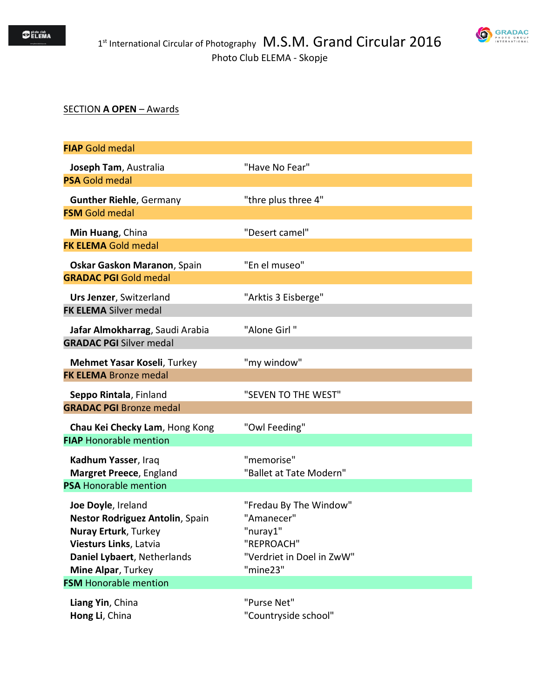

## SECTION **A OPEN** – Awards

| <b>FIAP</b> Gold medal                                         |                                     |
|----------------------------------------------------------------|-------------------------------------|
| Joseph Tam, Australia                                          | "Have No Fear"                      |
| <b>PSA Gold medal</b>                                          |                                     |
| <b>Gunther Riehle, Germany</b>                                 | "thre plus three 4"                 |
| <b>FSM Gold medal</b>                                          |                                     |
| Min Huang, China                                               | "Desert camel"                      |
| <b>FK ELEMA Gold medal</b>                                     |                                     |
| Oskar Gaskon Maranon, Spain                                    | "En el museo"                       |
| <b>GRADAC PGI Gold medal</b>                                   |                                     |
| Urs Jenzer, Switzerland                                        | "Arktis 3 Eisberge"                 |
| <b>FK ELEMA</b> Silver medal                                   |                                     |
| Jafar Almokharrag, Saudi Arabia                                | "Alone Girl"                        |
| <b>GRADAC PGI Silver medal</b>                                 |                                     |
| Mehmet Yasar Koseli, Turkey                                    | "my window"                         |
| <b>FK ELEMA Bronze medal</b>                                   |                                     |
|                                                                |                                     |
| Seppo Rintala, Finland                                         | "SEVEN TO THE WEST"                 |
| <b>GRADAC PGI Bronze medal</b>                                 |                                     |
| Chau Kei Checky Lam, Hong Kong                                 | "Owl Feeding"                       |
| <b>FIAP Honorable mention</b>                                  |                                     |
| Kadhum Yasser, Iraq                                            | "memorise"                          |
| Margret Preece, England                                        | "Ballet at Tate Modern"             |
| <b>PSA Honorable mention</b>                                   |                                     |
| Joe Doyle, Ireland                                             | "Fredau By The Window"              |
| Nestor Rodriguez Antolin, Spain<br><b>Nuray Erturk, Turkey</b> | "Amanecer"<br>"nurav1"              |
| Viesturs Links, Latvia                                         | "REPROACH"                          |
| Daniel Lybaert, Netherlands                                    | "Verdriet in Doel in ZwW"           |
| Mine Alpar, Turkey                                             | "mine23"                            |
| <b>FSM</b> Honorable mention                                   |                                     |
| Liang Yin, China<br>Hong Li, China                             | "Purse Net"<br>"Countryside school" |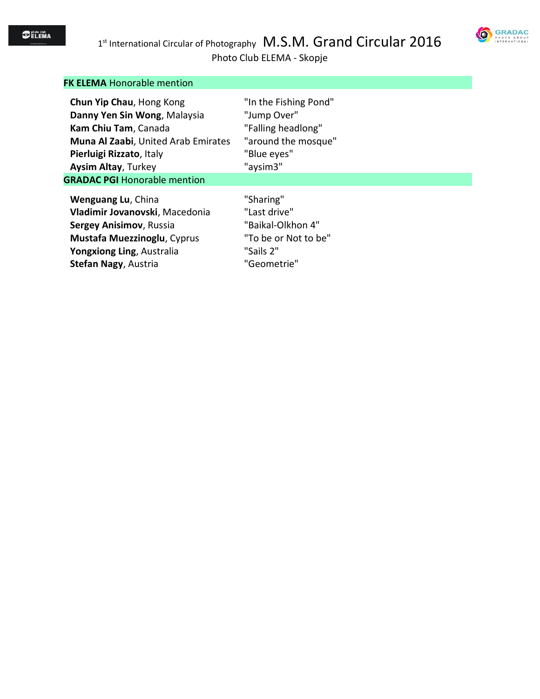

Photo Club ELEMA - Skopje

| <b>FK ELEMA Honorable mention</b>   |                       |
|-------------------------------------|-----------------------|
| Chun Yip Chau, Hong Kong            | "In the Fishing Pond" |
| Danny Yen Sin Wong, Malaysia        | "Jump Over"           |
| Kam Chiu Tam, Canada                | "Falling headlong"    |
| Muna Al Zaabi, United Arab Emirates | "around the mosque"   |
| Pierluigi Rizzato, Italy            | "Blue eyes"           |
| <b>Aysim Altay, Turkey</b>          | "aysim3"              |
| <b>GRADAC PGI Honorable mention</b> |                       |
| Wenguang Lu, China                  | "Sharing"             |
| Vladimir Jovanovski, Macedonia      | "Last drive"          |
| Sergey Anisimov, Russia             | "Baikal-Olkhon 4"     |
| <b>Mustafa Muezzinoglu, Cyprus</b>  | "To be or Not to be"  |
| Yongxiong Ling, Australia           | "Sails 2"             |
| Stefan Nagy, Austria                | "Geometrie"           |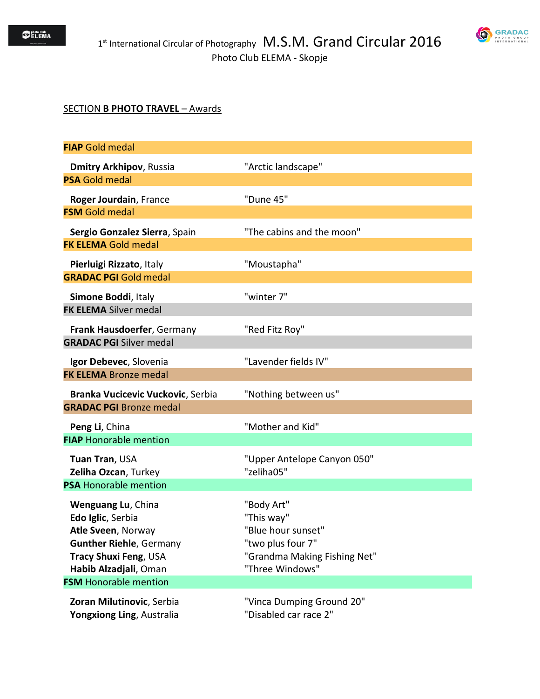

## SECTION **B PHOTO TRAVEL** – Awards

| <b>FIAP</b> Gold medal                                 |                                                    |
|--------------------------------------------------------|----------------------------------------------------|
| <b>Dmitry Arkhipov, Russia</b>                         | "Arctic landscape"                                 |
| <b>PSA Gold medal</b>                                  |                                                    |
| Roger Jourdain, France                                 | "Dune 45"                                          |
| <b>FSM</b> Gold medal                                  |                                                    |
| Sergio Gonzalez Sierra, Spain                          | "The cabins and the moon"                          |
| <b>FK ELEMA Gold medal</b>                             |                                                    |
| Pierluigi Rizzato, Italy                               | "Moustapha"                                        |
| <b>GRADAC PGI Gold medal</b>                           |                                                    |
| Simone Boddi, Italy                                    | "winter 7"                                         |
| <b>FK ELEMA</b> Silver medal                           |                                                    |
| Frank Hausdoerfer, Germany                             | "Red Fitz Roy"                                     |
| <b>GRADAC PGI Silver medal</b>                         |                                                    |
| Igor Debevec, Slovenia                                 | "Lavender fields IV"                               |
| <b>FK ELEMA Bronze medal</b>                           |                                                    |
| Branka Vucicevic Vuckovic, Serbia                      | "Nothing between us"                               |
| <b>GRADAC PGI Bronze medal</b>                         |                                                    |
| Peng Li, China                                         | "Mother and Kid"                                   |
| <b>FIAP Honorable mention</b>                          |                                                    |
| Tuan Tran, USA                                         | "Upper Antelope Canyon 050"                        |
| Zeliha Ozcan, Turkey                                   | "zeliha05"                                         |
| <b>PSA Honorable mention</b>                           |                                                    |
| Wenguang Lu, China                                     | "Body Art"                                         |
| Edo Iglic, Serbia                                      | "This way"                                         |
| Atle Sveen, Norway<br><b>Gunther Riehle, Germany</b>   | "Blue hour sunset"<br>"two plus four 7"            |
| Tracy Shuxi Feng, USA                                  | "Grandma Making Fishing Net"                       |
| Habib Alzadjali, Oman                                  | "Three Windows"                                    |
| <b>FSM</b> Honorable mention                           |                                                    |
| Zoran Milutinovic, Serbia<br>Yongxiong Ling, Australia | "Vinca Dumping Ground 20"<br>"Disabled car race 2" |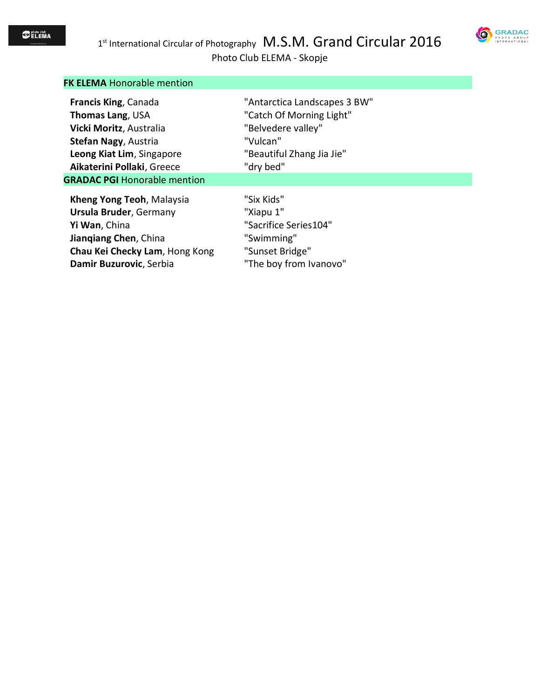

# Photo Club ELEMA - Skopje

| GRADA(               |
|----------------------|
| PHOTO<br>GROUP       |
| <b>INTERNATIONAL</b> |

| <b>FK ELEMA Honorable mention</b>                                                                                                                                 |                                                                                                             |
|-------------------------------------------------------------------------------------------------------------------------------------------------------------------|-------------------------------------------------------------------------------------------------------------|
| <b>Francis King, Canada</b>                                                                                                                                       | "Antarctica Landscapes 3 BW"                                                                                |
| <b>Thomas Lang, USA</b>                                                                                                                                           | "Catch Of Morning Light"                                                                                    |
| Vicki Moritz, Australia                                                                                                                                           | "Belvedere valley"                                                                                          |
| Stefan Nagy, Austria                                                                                                                                              | "Vulcan"                                                                                                    |
| Leong Kiat Lim, Singapore                                                                                                                                         | "Beautiful Zhang Jia Jie"                                                                                   |
| Aikaterini Pollaki, Greece                                                                                                                                        | "dry bed"                                                                                                   |
| <b>GRADAC PGI Honorable mention</b>                                                                                                                               |                                                                                                             |
| Kheng Yong Teoh, Malaysia<br><b>Ursula Bruder, Germany</b><br>Yi Wan, China<br>Jiangiang Chen, China<br>Chau Kei Checky Lam, Hong Kong<br>Damir Buzurovic, Serbia | "Six Kids"<br>"Xiapu 1"<br>"Sacrifice Series104"<br>"Swimming"<br>"Sunset Bridge"<br>"The boy from Ivanovo" |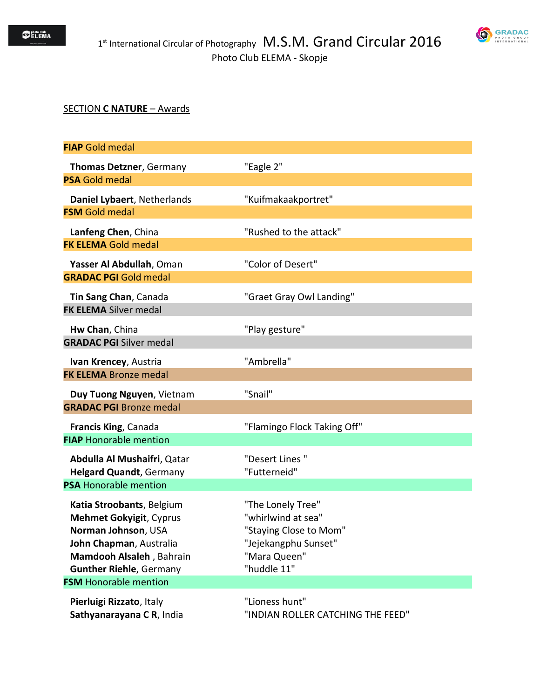

### SECTION **C NATURE** – Awards

| <b>FIAP</b> Gold medal                                                                                                                                                                                                                      |                                                                                                                          |
|---------------------------------------------------------------------------------------------------------------------------------------------------------------------------------------------------------------------------------------------|--------------------------------------------------------------------------------------------------------------------------|
| Thomas Detzner, Germany<br><b>PSA Gold medal</b>                                                                                                                                                                                            | "Eagle 2"                                                                                                                |
| Daniel Lybaert, Netherlands<br><b>FSM</b> Gold medal                                                                                                                                                                                        | "Kuifmakaakportret"                                                                                                      |
| Lanfeng Chen, China<br><b>FK ELEMA Gold medal</b>                                                                                                                                                                                           | "Rushed to the attack"                                                                                                   |
| Yasser Al Abdullah, Oman<br><b>GRADAC PGI Gold medal</b>                                                                                                                                                                                    | "Color of Desert"                                                                                                        |
| Tin Sang Chan, Canada<br><b>FK ELEMA</b> Silver medal                                                                                                                                                                                       | "Graet Gray Owl Landing"                                                                                                 |
| Hw Chan, China<br><b>GRADAC PGI Silver medal</b>                                                                                                                                                                                            | "Play gesture"                                                                                                           |
| Ivan Krencey, Austria<br><b>FK ELEMA Bronze medal</b>                                                                                                                                                                                       | "Ambrella"                                                                                                               |
| Duy Tuong Nguyen, Vietnam<br><b>GRADAC PGI Bronze medal</b>                                                                                                                                                                                 | "Snail"                                                                                                                  |
| Francis King, Canada<br><b>FIAP Honorable mention</b>                                                                                                                                                                                       | "Flamingo Flock Taking Off"                                                                                              |
| Abdulla Al Mushaifri, Qatar<br><b>Helgard Quandt, Germany</b>                                                                                                                                                                               | "Desert Lines"<br>"Futterneid"                                                                                           |
| <b>PSA Honorable mention</b><br>Katia Stroobants, Belgium<br><b>Mehmet Gokyigit, Cyprus</b><br>Norman Johnson, USA<br>John Chapman, Australia<br>Mamdooh Alsaleh, Bahrain<br><b>Gunther Riehle, Germany</b><br><b>FSM</b> Honorable mention | "The Lonely Tree"<br>"whirlwind at sea"<br>"Staying Close to Mom"<br>"Jejekangphu Sunset"<br>"Mara Queen"<br>"huddle 11" |
| Pierluigi Rizzato, Italy<br>Sathyanarayana CR, India                                                                                                                                                                                        | "Lioness hunt"<br>"INDIAN ROLLER CATCHING THE FEED"                                                                      |